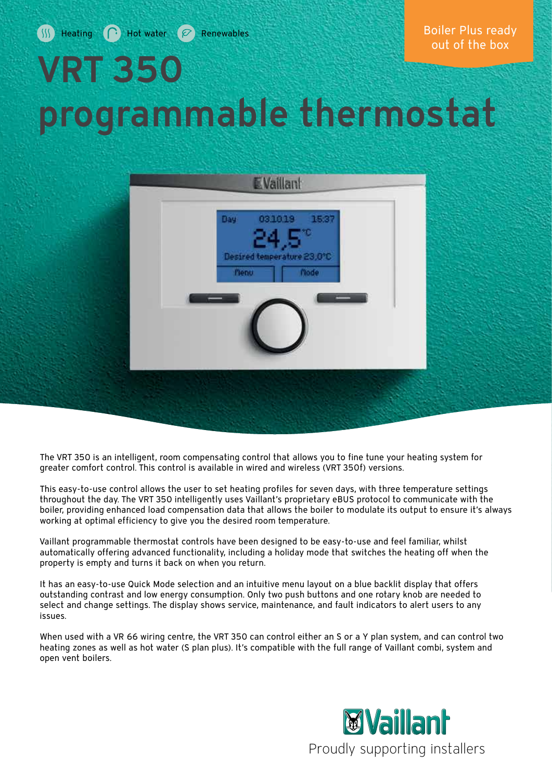# VRT 350 programmable thermostat



The VRT 350 is an intelligent, room compensating control that allows you to fine tune your heating system for greater comfort control. This control is available in wired and wireless (VRT 350f) versions.

This easy-to-use control allows the user to set heating profiles for seven days, with three temperature settings throughout the day. The VRT 350 intelligently uses Vaillant's proprietary eBUS protocol to communicate with the boiler, providing enhanced load compensation data that allows the boiler to modulate its output to ensure it's always working at optimal efficiency to give you the desired room temperature.

Vaillant programmable thermostat controls have been designed to be easy-to-use and feel familiar, whilst automatically offering advanced functionality, including a holiday mode that switches the heating off when the property is empty and turns it back on when you return.

It has an easy-to-use Quick Mode selection and an intuitive menu layout on a blue backlit display that offers outstanding contrast and low energy consumption. Only two push buttons and one rotary knob are needed to select and change settings. The display shows service, maintenance, and fault indicators to alert users to any issues.

When used with a VR 66 wiring centre, the VRT 350 can control either an S or a Y plan system, and can control two heating zones as well as hot water (S plan plus). It's compatible with the full range of Vaillant combi, system and open vent boilers.

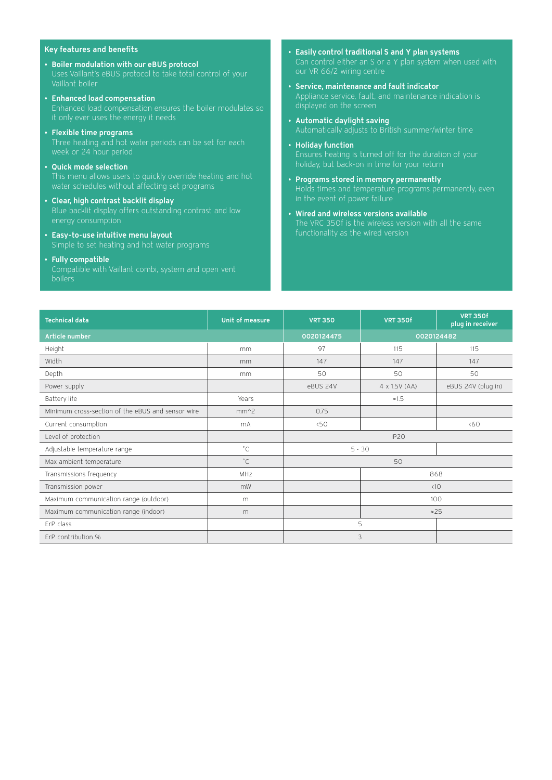#### Key features and benefits

- Boiler modulation with our eBUS protocol Uses Vaillant's eBUS protocol to take total control of your Vaillant boiler
- Enhanced load compensation Enhanced load compensation ensures the boiler modulates so
- Flexible time programs
- Quick mode selection This menu allows users to quickly override heating and hot water schedules without affecting set programs
- Clear, high contrast backlit display Blue backlit display offers outstanding contrast and low energy consumption
- Easy-to-use intuitive menu layout
- Fully compatible boilers
- Easily control traditional S and Y plan systems
- Service, maintenance and fault indicator Appliance service, fault, and maintenance indication is
- Automatic daylight saving Automatically adjusts to British summer/winter time
- Holiday function Ensures heating is turned off for the duration of your holiday, but back-on in time for your return
- Programs stored in memory permanently in the event of power failure
- Wired and wireless versions available The VRC 350f is the wireless version with all the same functionality as the wired version

| <b>Technical data</b>                             | Unit of measure | <b>VRT 350</b> | <b>VRT 350f</b>      | <b>VRT 350f</b><br>plug in receiver |
|---------------------------------------------------|-----------------|----------------|----------------------|-------------------------------------|
| Article number                                    |                 | 0020124475     | 0020124482           |                                     |
| Height                                            | mm.             | 97             | 115                  | 115                                 |
| Width                                             | mm              | 147            | 147                  | 147                                 |
| Depth                                             | mm.             | 50             | 50                   | 50                                  |
| Power supply                                      |                 | eBUS 24V       | $4 \times 1.5V (AA)$ | eBUS 24V (plug in)                  |
| Battery life                                      | Years           |                | $\approx 1.5$        |                                     |
| Minimum cross-section of the eBUS and sensor wire | $mm^2$          | 0.75           |                      |                                     |
| Current consumption                               | mA              | 50<            |                      | <60                                 |
| Level of protection                               |                 | <b>IP20</b>    |                      |                                     |
| Adjustable temperature range                      | $^{\circ}$ C    | $5 - 30$       |                      |                                     |
| Max ambient temperature                           | $^{\circ}$ C    | 50             |                      |                                     |
| Transmissions frequency                           | MHz             |                | 868                  |                                     |
| Transmission power                                | mW              |                | $\langle$ 10         |                                     |
| Maximum communication range (outdoor)             | m               |                | 100                  |                                     |
| Maximum communication range (indoor)              | m               |                | $\approx$ 25         |                                     |
| ErP class                                         |                 | 5              |                      |                                     |
| ErP contribution %                                |                 | 3              |                      |                                     |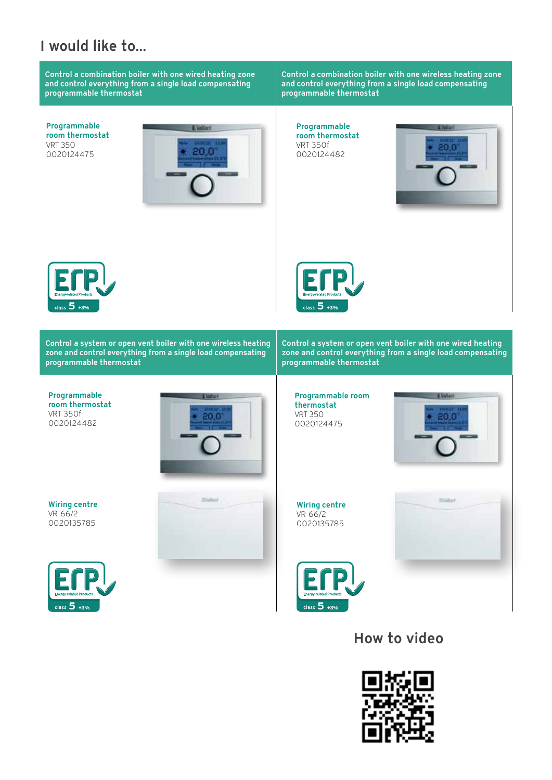## I would like to...

Control a combination boiler with one wired heating zone and control everything from a single load compensating programmable thermostat

Programmable room thermostat VRT 350 0020124475



Control a combination boiler with one wireless heating zone and control everything from a single load compensating programmable thermostat

Programmable room thermostat VRT 350f 0020124482







Control a system or open vent boiler with one wireless heating zone and control everything from a single load compensating programmable thermostat

Control a system or open vent boiler with one wired heating zone and control everything from a single load compensating programmable thermostat

Programmable room thermostat VRT 350f 0020124482



Programmable room thermostat VRT 350 0020124475



Wiring centre VR 66/2 0020135785





How to video





Wiring centre